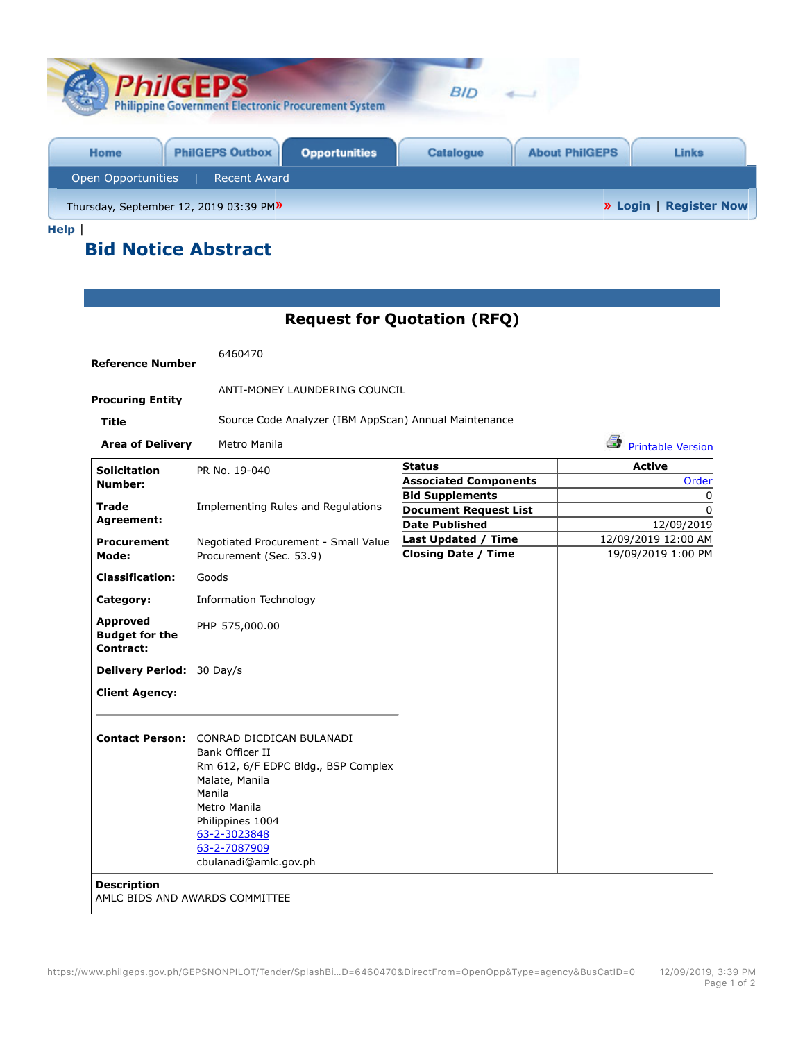| <b>PhilGEPS</b><br><b>Philippine Government Electronic Procurement System</b> | <b>BID</b>                                                |
|-------------------------------------------------------------------------------|-----------------------------------------------------------|
| <b>PhilGEPS Outbox</b><br><b>Opportunities</b><br>Home                        | <b>Catalogue</b><br><b>About PhilGEPS</b><br><b>Links</b> |
| Open Opportunities<br><b>Recent Award</b>                                     |                                                           |
| Thursday, September 12, 2019 03:39 PM»                                        | <b>»</b> Login   Register Now                             |

**Help** |

## **Bid Notice Abstract**

## **Request for Quotation (RFQ)**

| <b>Reference Number</b>                               | 6460470                                                                                                                                                                                                                            |                                                          |                                           |
|-------------------------------------------------------|------------------------------------------------------------------------------------------------------------------------------------------------------------------------------------------------------------------------------------|----------------------------------------------------------|-------------------------------------------|
| <b>Procuring Entity</b>                               | ANTI-MONEY LAUNDERING COUNCIL                                                                                                                                                                                                      |                                                          |                                           |
| <b>Title</b>                                          | Source Code Analyzer (IBM AppScan) Annual Maintenance                                                                                                                                                                              |                                                          |                                           |
| <b>Area of Delivery</b>                               | Metro Manila                                                                                                                                                                                                                       |                                                          | 4<br><b>Printable Version</b>             |
| <b>Solicitation</b>                                   | PR No. 19-040                                                                                                                                                                                                                      | <b>Status</b>                                            | <b>Active</b>                             |
| Number:                                               |                                                                                                                                                                                                                                    | <b>Associated Components</b>                             | Order                                     |
| Trade                                                 | Implementing Rules and Regulations                                                                                                                                                                                                 | <b>Bid Supplements</b>                                   | 0                                         |
| Agreement:                                            |                                                                                                                                                                                                                                    | <b>Document Request List</b>                             | $\Omega$                                  |
|                                                       |                                                                                                                                                                                                                                    | <b>Date Published</b>                                    | 12/09/2019                                |
| <b>Procurement</b>                                    | Negotiated Procurement - Small Value                                                                                                                                                                                               | <b>Last Updated / Time</b><br><b>Closing Date / Time</b> | 12/09/2019 12:00 AM<br>19/09/2019 1:00 PM |
| Mode:                                                 | Procurement (Sec. 53.9)                                                                                                                                                                                                            |                                                          |                                           |
| <b>Classification:</b>                                | Goods                                                                                                                                                                                                                              |                                                          |                                           |
| Category:                                             | <b>Information Technology</b>                                                                                                                                                                                                      |                                                          |                                           |
| <b>Approved</b><br><b>Budget for the</b><br>Contract: | PHP 575,000.00                                                                                                                                                                                                                     |                                                          |                                           |
| Delivery Period: 30 Day/s                             |                                                                                                                                                                                                                                    |                                                          |                                           |
| <b>Client Agency:</b>                                 |                                                                                                                                                                                                                                    |                                                          |                                           |
|                                                       | <b>Contact Person: CONRAD DICDICAN BULANADI</b><br>Bank Officer II<br>Rm 612, 6/F EDPC Bldg., BSP Complex<br>Malate, Manila<br>Manila<br>Metro Manila<br>Philippines 1004<br>63-2-3023848<br>63-2-7087909<br>cbulanadi@amlc.gov.ph |                                                          |                                           |
| <b>Description</b>                                    | AMLC BIDS AND AWARDS COMMITTEE                                                                                                                                                                                                     |                                                          |                                           |